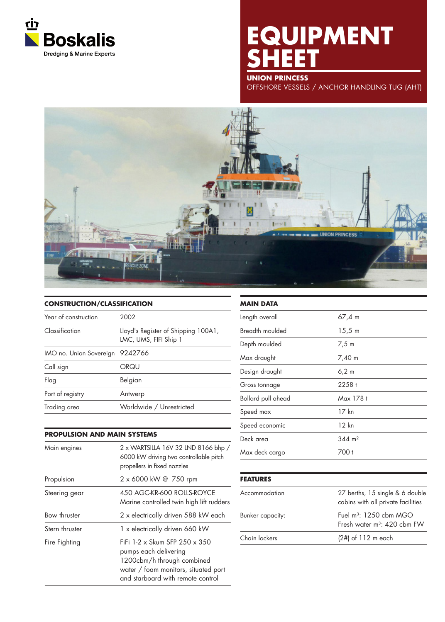

# **EQUIPMENT SHEET**

**UNION PRINCESS**

OFFSHORE VESSELS / ANCHOR HANDLING TUG (AHT)



## **CONSTRUCTION/CLASSIFICATION** Year of construction 2002 Classification Lloyd's Register of Shipping 100A1, LMC, UMS, FIFI Ship 1 IMO no. Union Sovereign 9242766 Call sign ORQU Flag Belgian Port of registry **Antwerp** Trading area Worldwide / Unrestricted

### **PROPULSION AND MAIN SYSTEMS**

| Main engines   | 2 x WARTSILLA 16V 32 LND 8166 bhp /<br>6000 kW driving two controllable pitch<br>propellers in fixed nozzles                                                      |
|----------------|-------------------------------------------------------------------------------------------------------------------------------------------------------------------|
| Propulsion     | 2 x 6000 kW @ 750 rpm                                                                                                                                             |
| Steering gear  | 450 AGC-KR-600 ROLLS-ROYCE<br>Marine controlled twin high lift rudders                                                                                            |
| Bow thruster   | 2 x electrically driven 588 kW each                                                                                                                               |
| Stern thruster | 1 x electrically driven 660 kW                                                                                                                                    |
| Fire Fighting  | FiFi 1-2 x Skum SFP 250 x 350<br>pumps each delivering<br>1200cbm/h through combined<br>water / foam monitors, situated port<br>and starboard with remote control |

| <b>MAIN DATA</b>   |                       |  |
|--------------------|-----------------------|--|
| Length overall     | 67,4 m                |  |
| Breadth moulded    | 15,5 m                |  |
| Depth moulded      | 7,5 m                 |  |
| Max draught        | 7,40 m                |  |
| Design draught     | $6,2 \, m$            |  |
| Gross tonnage      | $2258 +$              |  |
| Bollard pull ahead | Max 178 t             |  |
| Speed max          | 17 kn                 |  |
| Speed economic     | 12 kn                 |  |
| Deck area          | $344 \; \mathrm{m}^2$ |  |
| Max deck cargo     | 700 t                 |  |

### **FEATURES**

| Accommodation    | 27 berths, 15 single & 6 double<br>cabins with all private facilities<br>Fuel $m^3$ : 1250 cbm MGO<br>Fresh water $m^3$ : 420 cbm FW |  |
|------------------|--------------------------------------------------------------------------------------------------------------------------------------|--|
| Bunker capacity: |                                                                                                                                      |  |
| Chain lockers    | $(2#)$ of 112 m each                                                                                                                 |  |